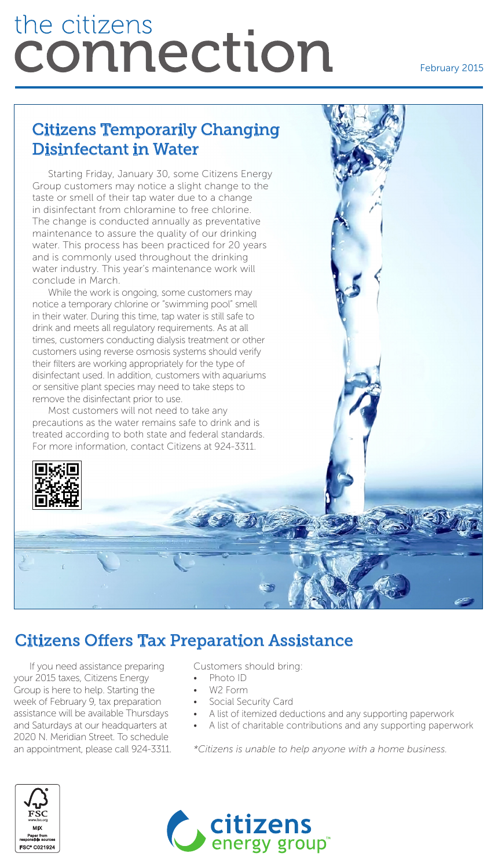# the citizens connection

#### February 2015

# Citizens Temporarily Changing Disinfectant in Water

Starting Friday, January 30, some Citizens Energy Group customers may notice a slight change to the taste or smell of their tap water due to a change in disinfectant from chloramine to free chlorine. The change is conducted annually as preventative maintenance to assure the quality of our drinking water. This process has been practiced for 20 years and is commonly used throughout the drinking water industry. This year's maintenance work will conclude in March.

While the work is ongoing, some customers may notice a temporary chlorine or "swimming pool" smell in their water. During this time, tap water is still safe to drink and meets all regulatory requirements. As at all times, customers conducting dialysis treatment or other customers using reverse osmosis systems should verify their filters are working appropriately for the type of disinfectant used. In addition, customers with aquariums or sensitive plant species may need to take steps to remove the disinfectant prior to use.

Most customers will not need to take any precautions as the water remains safe to drink and is treated according to both state and federal standards. For more information, contact Citizens at 924-3311.



à

## Citizens Offers Tax Preparation Assistance

If you need assistance preparing your 2015 taxes, Citizens Energy Group is here to help. Starting the week of February 9, tax preparation assistance will be available Thursdays and Saturdays at our headquarters at 2020 N. Meridian Street. To schedule an appointment, please call 924-3311. Customers should bring:

- Photo ID
- W2 Form
- **Social Security Card**
- A list of itemized deductions and any supporting paperwork
- A list of charitable contributions and any supporting paperwork

*\*Citizens is unable to help anyone with a home business.*